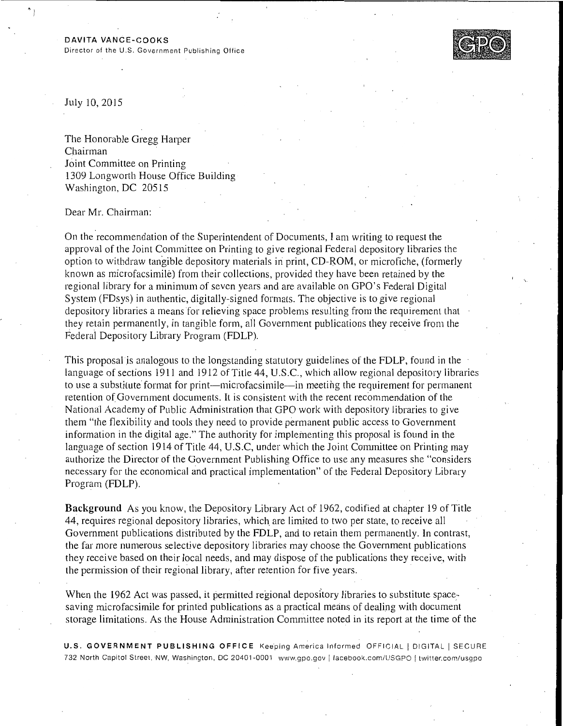Director of the U.S. Government Publishing Office



July 10,2015

 $\degree$  )

The Honorable Gregg Harper Chairman Joint Committee on Printing 1309 Longworth House Office Building Washington, DC 205 15

Dear Mr. Chairman:

On the recommendation of the Superintendent of Documents, I am writing to request the approval of the Joint Committee on Printing to give regional Federal depository libraries the option to withdraw tangible depository materials in print, CD-ROM, or microfiche, (formerly known as microfacsimile) from their collections, provided they have been retained by the regional library for a minimum of seven years and are available on GPO's Federal Digital System (FDsys) in authentic, digitally-signed formats. The objective is to give regional depository libraries a means for relieving space problems resulting from the requirement that they retain permanently, in tangible form, all Government publications they receive from the Federal Depository Library Program (FDLP).

This proposal is analogous to the longstanding statutory guidelines of the FDLP, found in the language of sections 1911 and 1912 of Title 44, U .S.C., which allow regional depository libraries to use a substitute format for print-microfacsimile-in meeting the requirement for permanent retention of Government documents. It is consistent with the recent recommendation of the National Academy of Public Administration that GPO work with depository libraries to give them "the flexibility and tools they need to provide permanent public access to Government information in the digital age." The authority for implementing this proposal is found in the language of section 1914 of Title 44, U.S.C, under which the Joint Committee on Printing may authorize the Director of the Government Publishing Office to use any measures she "considers necessary for the economical and practical implementation" of the Federal Depository Library Program (FDLP).

Background As you know, the Depository Library Act of 1962, codified at chapter 19 of Title 44, requires regional depository libraries, which. are limited to two per state, to receive all Government publications distributed by the FDLP, and to retain them permanently. In contrast, the far more numerous selective depository libraries may choose the Government publications they receive based on their local needs, and may dispose of the publications they receive, with the permission of their regional library, after retention for five years.

When the 1962 Act was passed, it permitted regional depository libraries to substitute spacesaving microfacsimile for printed publications as a practical means of dealing with document storage limitations. As the House Administration Committee noted in its report at the time of the

U.S. GOVERNMENT PUBLISHING OFFICE Keeping America Informed OFFICIAL | DIGITAL | SECURE 732 North Capitol Street, NW, Washington, DC 20401-0001 www.gpo.gov i facebook.com/USGPO 1 twitter.com/usgpo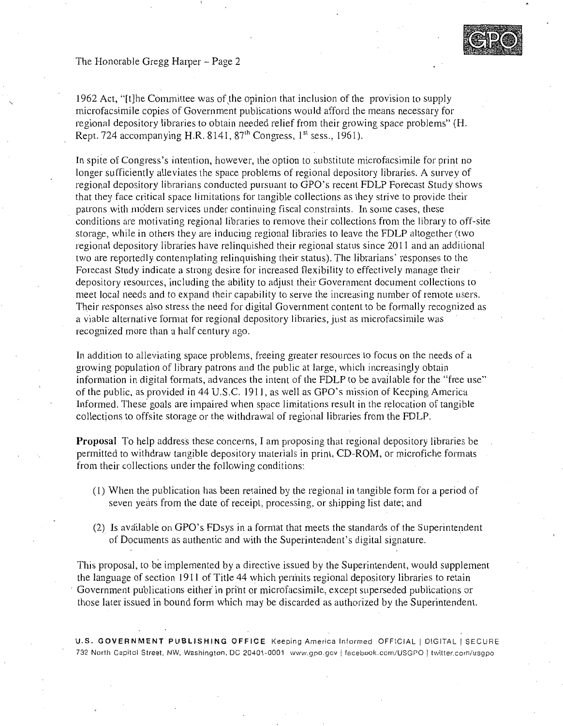The Honorable Gregg Harper - Page 2



1962 Act, "[t]he Committee was of the opinion that inclusion of the provision to supply microfacsimile copies of Government publications would afford the means necessary for regional depository libraries to obtain needed relief from their growing space problems" (H. Rept. 724 accompanying H.R. 8141,  $87<sup>th</sup>$  Congress,  $1<sup>st</sup>$  sess., 1961).

In spite of Congress's intention, however, the option to substitute microfacsimile for print no longer sufficiently alleviates the space problems of regional depository libraries. A survey of regional depository librarians conducted pursuant to GPO's recent FDLP Forecast Study shows that they face critical space limitations for tangible collections as they strive to provide their patrons with modern services under continuing fiscal constraints. In some cases, these conditions are motivating regional libraries to remove their collections from the library to off-site storage, while in others they are inducing regional libraries to leave the FDLP altogether (two regional depository libraries have relinquished their regional status since 2011 and an additional two are reportedly contemplating relinquishing their status). The librarians' responses to the Forecast Study indicate a strong desire for increased flexibility to effectively manage their depository resources, including the ability to adjust their Government document collections to meet local needs and to expand their capability to serve the increasing number of remote users. Their responses also stress the need for digital Government content to be formally recognized as a viable alternative format for regional depository libraries, just as microfacsimile was recognized more than a half century ago.

In addition to alleviating space problems, freeing greater resources to focus on the needs of a growing population of library patrons and the public at large, which increasingly obtain information in digital formats, advances the intent of the FDLP to be available for the "free use" of the public, as provided in 44 U.S.C. 191 I, as well as GPO's mission of Keeping America Informed. These· goals are impaired when space limitations result in the relocation of tangible collections to offsite storage or the withdrawal of regional libraries from the FDLP.

**Proposal** To help address these concerns, I am proposing that regional depository libraries be permitted to withdraw tangible depository materials in print, CD-ROM, or microfiche formats from their collections under the following conditions:

- (1) When the publication has been retained by the regional in tangible form for a period of seven years from the date of receipt, processing, or shipping list date; and
- (2) Is available on GPO's FDsys in a format that meets the standards of the Superintendent . ' of Documents as authentic and with the Superintendent's digital signature.

This proposal, to be implemented by a directive issued by the Superintendent, would supplement the language of section 1911 of Title 44 which pennits regional depository libraries to retain Government publications either in print or microfacsimile, except superseded publications or those later issued in bound form which may be discarded as authorized by the Superintendent.

U.S. **GOVERNMENT PUBLISHING OFFICE** Keeping America Informed OFFICIAL I DIGITAL I SECURE 732 North Capitol Street, NW, Washington. DC 20401-0001 www.gpo.gov I facebook.com/USGPO ! twitter.com/usgpo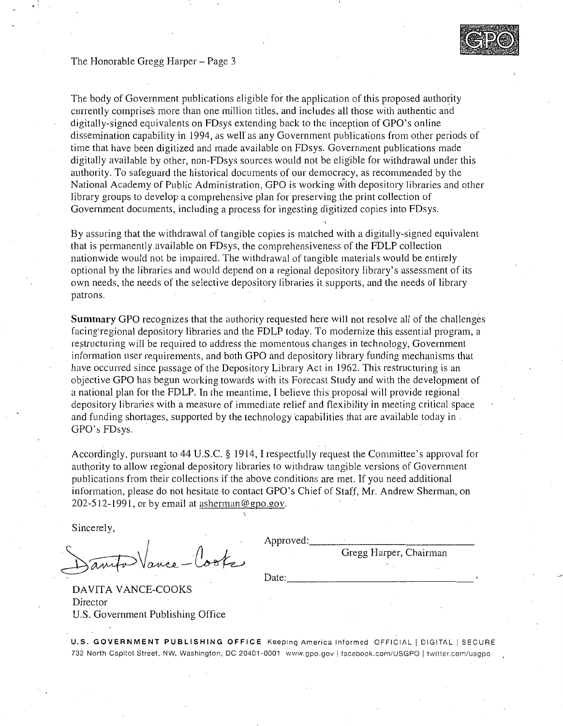## The Honorable Gregg Harper- Page 3

 $\cdot$  :



The body of Government publications eligible for the application of this proposed authority currently comprises more than one million titles, and includes all those with authentic and digitally-signed equivalents on FDsys extending back to the inception of GPO's online dissemination capability in 1994, as well as any Government publications from other periods of time that have been digitized and made available on FDsys. Government publications made digitally available by other, non-FDsys sources would not be eligible for withdrawal under this authority. To safeguard the historical documents of our democracy, as recommended by the National Academy of Public Administration, GPO is working with depository libraries and other library groups to develop a comprehensive plan for preserving the print collection of Government documents, including a process for ingesting digitized copies into FDsys.

By assuring that the withdrawal of tangible copies is matched with a digitally-signed equivalent that is permanently available on FDsys, the comprehensiveness of the FDLP collection . nationwide would not be impaired. The withdrawal of tangible materials would be entirely optional by the libraries and would depend on a regional depository library's assessment of its own needs, the needs of the selective depository libraries it supports, and the needs of library patrons.

Summary GPO recognizes that the authority requested here will not resolve all of the challenges facing'regional depository libraries and the FDLP today. To modernize this essential program, a restructuring will be required to address the momentous changes in technology, Government information user requirements, and both GPO and depository library funding mechanisms that have occurred since passage of the Depository Library Act in 1962. This restructuring is an objective GPO has begun working towards with its Forecast Study and with the development of a national plan for the FDLP. In the meantime, I believe this proposal will provide regional depository libraries with a measure of immediate relief and flexibility in meeting critical space and funding shortages, supported by the technology capabilities that are available today in. GPO's FDsys. .

Accordingly, pursuant to 44 U.S.C. § 1914, I respectfully request the Committee's approval for authority to allow regional depository libraries to withdraw tangible versions of Government publications from their collections if the above conditions are met. If you need additional information, please do not hesitate to contact GPO's Chief of Staff, Mr. Andrew Sherman, on 202-512-1991, or by email at asherman@gpo.gov.

Sincerely,

Approved: \_\_\_\_\_\_\_\_\_\_\_\_\_ \_

Gregg Harper, Chairman

Date: \_\_\_\_\_\_\_\_\_\_\_\_\_\_\_\_ \_

DAVITA VANCE-COOKS Director U.S. Government Publishing Office

U.S. GOVERNMENT PUBLISHING OFFICE Keeping America Informed OFFICIAL | DIGITAL | SECURE 732 North Capitol Street, NW, Washington, DC 20401-0001 www.gpo.gov | facebook.com/USGPO | twitter.com/usgpo